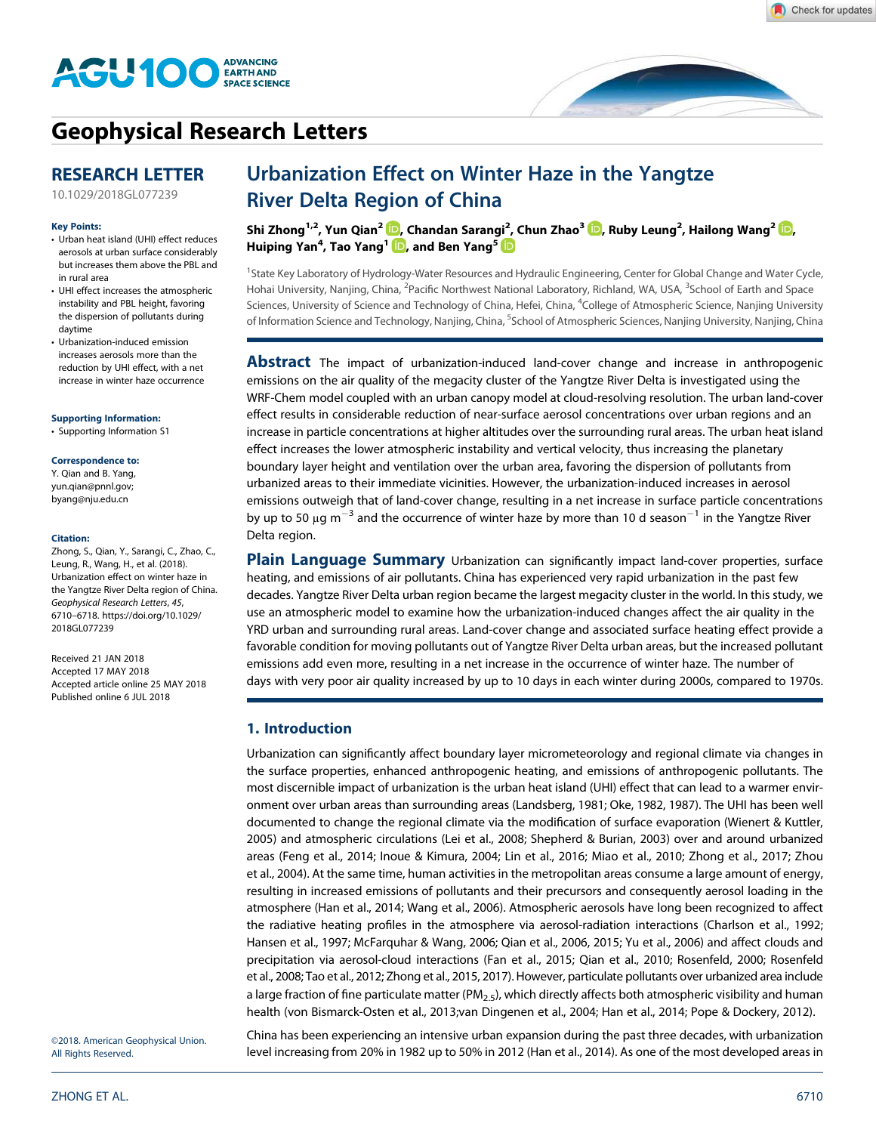

# Geophysical Research Letters

## RESEARCH LETTER

10.1029/2018GL077239

#### Key Points:

- Urban heat island (UHI) effect reduces aerosols at urban surface considerably but increases them above the PBL and in rural area
- UHI effect increases the atmospheric instability and PBL height, favoring the dispersion of pollutants during daytime
- Urbanization-induced emission increases aerosols more than the reduction by UHI effect, with a net increase in winter haze occurrence

### Supporting Information:

• Supporting Information S1

### Correspondence to:

Y. Qian and B. Yang, yun.qian@pnnl.gov; byang@nju.edu.cn

#### Citation:

Zhong, S., Qian, Y., Sarangi, C., Zhao, C., Leung, R., Wang, H., et al. (2018). Urbanization effect on winter haze in the Yangtze River Delta region of China. Geophysical Research Letters, 45, 6710–6718. https://doi.org/10.1029/ 2018GL077239

Received 21 JAN 2018 Accepted 17 MAY 2018 Accepted article online 25 MAY 2018 Published online 6 JUL 2018

# Urbanization Effect on Winter Haze in the Yangtze River Delta Region of China

Shi Zhong1,2, Yun Qian<sup>2</sup> , Chandan Sarangi<sup>2</sup> , Chun Zhao<sup>3</sup> , Ruby Leung<sup>2</sup> , Hailong Wang<sup>2</sup> , Huiping Yan<sup>4</sup>, Tao Yang<sup>1</sup> ID, and Ben Yang<sup>5</sup>

<sup>1</sup>State Key Laboratory of Hydrology-Water Resources and Hydraulic Engineering, Center for Global Change and Water Cycle, Hohai University, Nanjing, China, <sup>2</sup>Pacific Northwest National Laboratory, Richland, WA, USA, <sup>3</sup>School of Earth and Space Sciences, University of Science and Technology of China, Hefei, China, <sup>4</sup>College of Atmospheric Science, Nanjing University of Information Science and Technology, Nanjing, China, <sup>5</sup>School of Atmospheric Sciences, Nanjing University, Nanjing, China

**Abstract** The impact of urbanization-induced land-cover change and increase in anthropogenic emissions on the air quality of the megacity cluster of the Yangtze River Delta is investigated using the WRF-Chem model coupled with an urban canopy model at cloud-resolving resolution. The urban land-cover effect results in considerable reduction of near-surface aerosol concentrations over urban regions and an increase in particle concentrations at higher altitudes over the surrounding rural areas. The urban heat island effect increases the lower atmospheric instability and vertical velocity, thus increasing the planetary boundary layer height and ventilation over the urban area, favoring the dispersion of pollutants from urbanized areas to their immediate vicinities. However, the urbanization-induced increases in aerosol emissions outweigh that of land-cover change, resulting in a net increase in surface particle concentrations by up to 50  $\mu$ g m<sup>-3</sup> and the occurrence of winter haze by more than 10 d season<sup>-1</sup> in the Yangtze River Delta region.

**Plain Language Summary** Urbanization can significantly impact land-cover properties, surface heating, and emissions of air pollutants. China has experienced very rapid urbanization in the past few decades. Yangtze River Delta urban region became the largest megacity cluster in the world. In this study, we use an atmospheric model to examine how the urbanization-induced changes affect the air quality in the YRD urban and surrounding rural areas. Land-cover change and associated surface heating effect provide a favorable condition for moving pollutants out of Yangtze River Delta urban areas, but the increased pollutant emissions add even more, resulting in a net increase in the occurrence of winter haze. The number of days with very poor air quality increased by up to 10 days in each winter during 2000s, compared to 1970s.

## 1. Introduction

Urbanization can significantly affect boundary layer micrometeorology and regional climate via changes in the surface properties, enhanced anthropogenic heating, and emissions of anthropogenic pollutants. The most discernible impact of urbanization is the urban heat island (UHI) effect that can lead to a warmer environment over urban areas than surrounding areas (Landsberg, 1981; Oke, 1982, 1987). The UHI has been well documented to change the regional climate via the modification of surface evaporation (Wienert & Kuttler, 2005) and atmospheric circulations (Lei et al., 2008; Shepherd & Burian, 2003) over and around urbanized areas (Feng et al., 2014; Inoue & Kimura, 2004; Lin et al., 2016; Miao et al., 2010; Zhong et al., 2017; Zhou et al., 2004). At the same time, human activities in the metropolitan areas consume a large amount of energy, resulting in increased emissions of pollutants and their precursors and consequently aerosol loading in the atmosphere (Han et al., 2014; Wang et al., 2006). Atmospheric aerosols have long been recognized to affect the radiative heating profiles in the atmosphere via aerosol-radiation interactions (Charlson et al., 1992; Hansen et al., 1997; McFarquhar & Wang, 2006; Qian et al., 2006, 2015; Yu et al., 2006) and affect clouds and precipitation via aerosol-cloud interactions (Fan et al., 2015; Qian et al., 2010; Rosenfeld, 2000; Rosenfeld et al., 2008; Tao et al., 2012; Zhong et al., 2015, 2017). However, particulate pollutants over urbanized area include a large fraction of fine particulate matter (PM<sub>2.5</sub>), which directly affects both atmospheric visibility and human health (von Bismarck-Osten et al., 2013;van Dingenen et al., 2004; Han et al., 2014; Pope & Dockery, 2012).

©2018. American Geophysical Union. All Rights Reserved.

China has been experiencing an intensive urban expansion during the past three decades, with urbanization level increasing from 20% in 1982 up to 50% in 2012 (Han et al., 2014). As one of the most developed areas in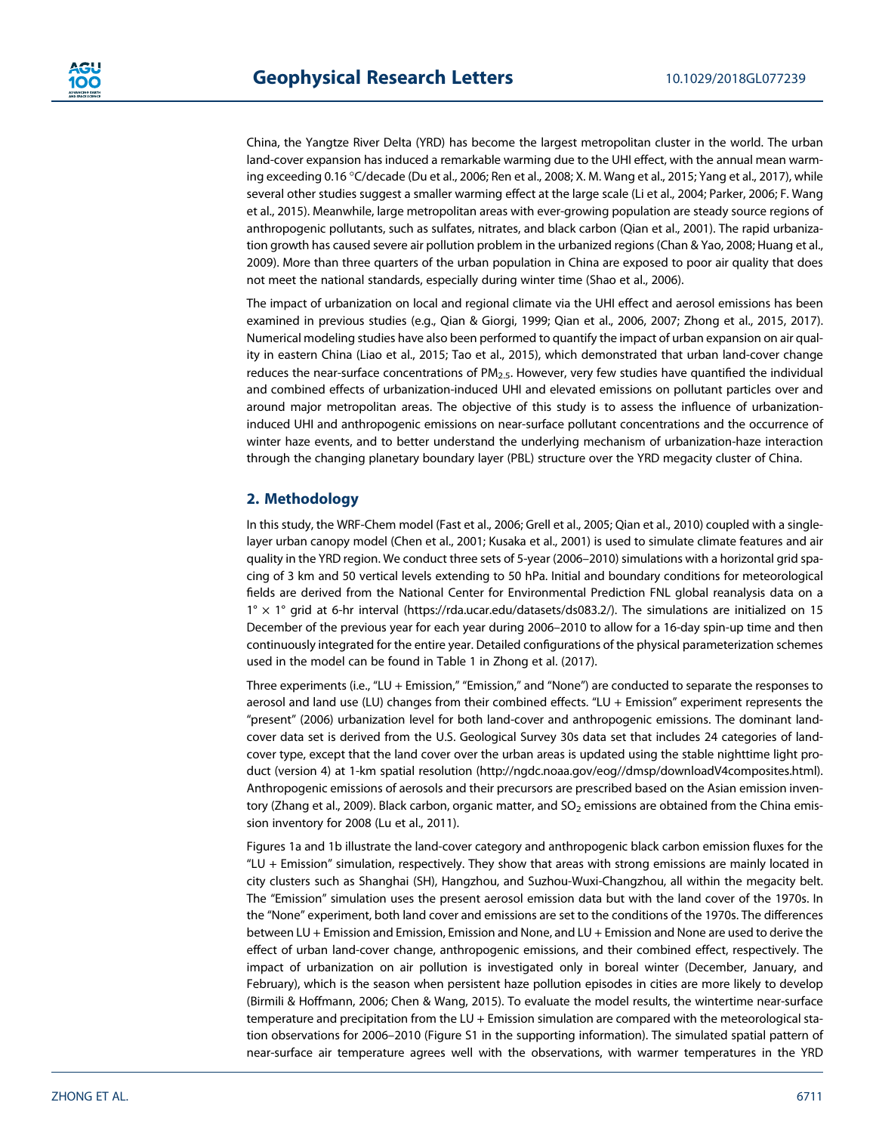China, the Yangtze River Delta (YRD) has become the largest metropolitan cluster in the world. The urban land-cover expansion has induced a remarkable warming due to the UHI effect, with the annual mean warming exceeding 0.16 °C/decade (Du et al., 2006; Ren et al., 2008; X. M. Wang et al., 2015; Yang et al., 2017), while several other studies suggest a smaller warming effect at the large scale (Li et al., 2004; Parker, 2006; F. Wang et al., 2015). Meanwhile, large metropolitan areas with ever-growing population are steady source regions of anthropogenic pollutants, such as sulfates, nitrates, and black carbon (Qian et al., 2001). The rapid urbanization growth has caused severe air pollution problem in the urbanized regions (Chan & Yao, 2008; Huang et al., 2009). More than three quarters of the urban population in China are exposed to poor air quality that does not meet the national standards, especially during winter time (Shao et al., 2006).

The impact of urbanization on local and regional climate via the UHI effect and aerosol emissions has been examined in previous studies (e.g., Qian & Giorgi, 1999; Qian et al., 2006, 2007; Zhong et al., 2015, 2017). Numerical modeling studies have also been performed to quantify the impact of urban expansion on air quality in eastern China (Liao et al., 2015; Tao et al., 2015), which demonstrated that urban land-cover change reduces the near-surface concentrations of  $PM<sub>2</sub>$ , However, very few studies have quantified the individual and combined effects of urbanization-induced UHI and elevated emissions on pollutant particles over and around major metropolitan areas. The objective of this study is to assess the influence of urbanizationinduced UHI and anthropogenic emissions on near-surface pollutant concentrations and the occurrence of winter haze events, and to better understand the underlying mechanism of urbanization-haze interaction through the changing planetary boundary layer (PBL) structure over the YRD megacity cluster of China.

## 2. Methodology

In this study, the WRF-Chem model (Fast et al., 2006; Grell et al., 2005; Qian et al., 2010) coupled with a singlelayer urban canopy model (Chen et al., 2001; Kusaka et al., 2001) is used to simulate climate features and air quality in the YRD region. We conduct three sets of 5-year (2006–2010) simulations with a horizontal grid spacing of 3 km and 50 vertical levels extending to 50 hPa. Initial and boundary conditions for meteorological fields are derived from the National Center for Environmental Prediction FNL global reanalysis data on a  $1^\circ \times 1^\circ$  grid at 6-hr interval (https://rda.ucar.edu/datasets/ds083.2/). The simulations are initialized on 15 December of the previous year for each year during 2006–2010 to allow for a 16-day spin-up time and then continuously integrated for the entire year. Detailed configurations of the physical parameterization schemes used in the model can be found in Table 1 in Zhong et al. (2017).

Three experiments (i.e., "LU + Emission," "Emission," and "None") are conducted to separate the responses to aerosol and land use (LU) changes from their combined effects. "LU + Emission" experiment represents the "present" (2006) urbanization level for both land-cover and anthropogenic emissions. The dominant landcover data set is derived from the U.S. Geological Survey 30s data set that includes 24 categories of landcover type, except that the land cover over the urban areas is updated using the stable nighttime light product (version 4) at 1-km spatial resolution (http://ngdc.noaa.gov/eog//dmsp/downloadV4composites.html). Anthropogenic emissions of aerosols and their precursors are prescribed based on the Asian emission inventory (Zhang et al., 2009). Black carbon, organic matter, and  $SO_2$  emissions are obtained from the China emission inventory for 2008 (Lu et al., 2011).

Figures 1a and 1b illustrate the land-cover category and anthropogenic black carbon emission fluxes for the "LU + Emission" simulation, respectively. They show that areas with strong emissions are mainly located in city clusters such as Shanghai (SH), Hangzhou, and Suzhou-Wuxi-Changzhou, all within the megacity belt. The "Emission" simulation uses the present aerosol emission data but with the land cover of the 1970s. In the "None" experiment, both land cover and emissions are set to the conditions of the 1970s. The differences between LU + Emission and Emission, Emission and None, and LU + Emission and None are used to derive the effect of urban land-cover change, anthropogenic emissions, and their combined effect, respectively. The impact of urbanization on air pollution is investigated only in boreal winter (December, January, and February), which is the season when persistent haze pollution episodes in cities are more likely to develop (Birmili & Hoffmann, 2006; Chen & Wang, 2015). To evaluate the model results, the wintertime near-surface temperature and precipitation from the LU + Emission simulation are compared with the meteorological station observations for 2006–2010 (Figure S1 in the supporting information). The simulated spatial pattern of near-surface air temperature agrees well with the observations, with warmer temperatures in the YRD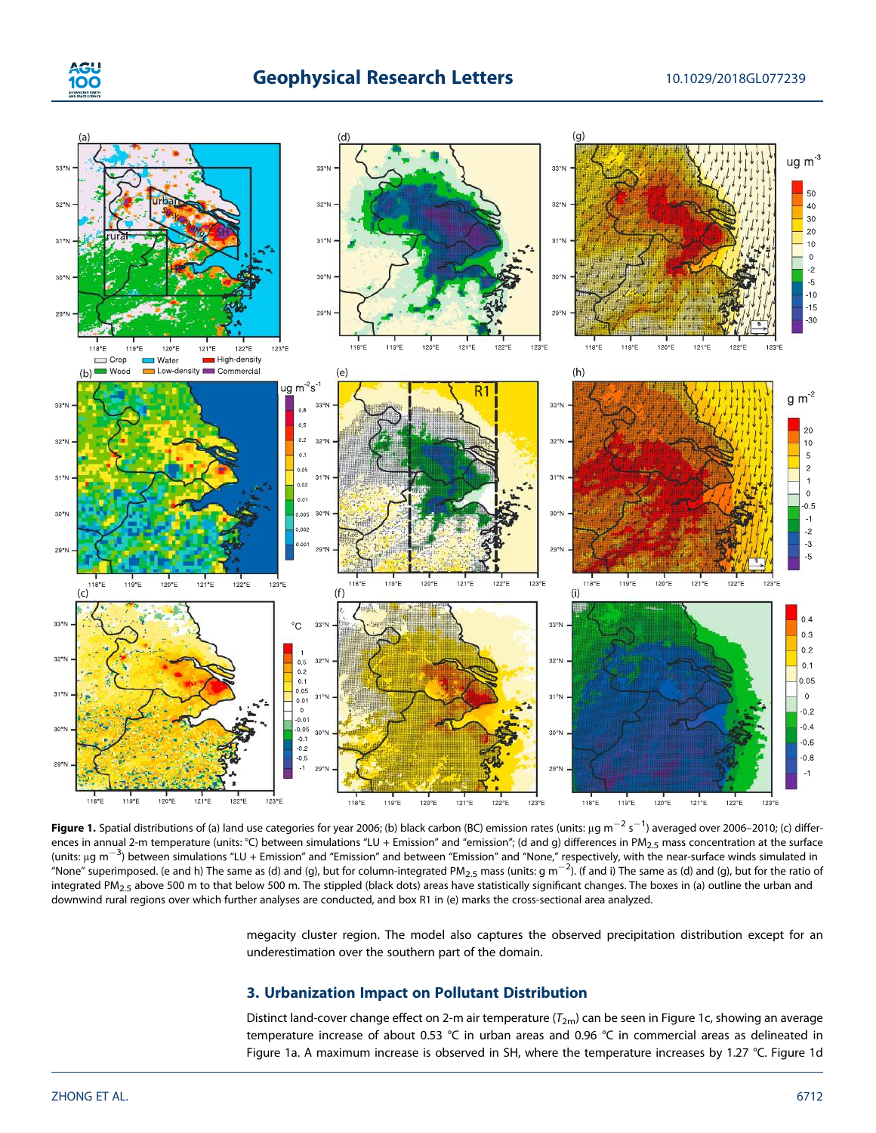



**Figure 1.** Spatial distributions of (a) land use categories for year 2006; (b) black carbon (BC) emission rates (units: µg m $^{-2}$  s $^{-1}$ ) averaged over 2006–2010; (c) differences in annual 2-m temperature (units: °C) between simulations "LU + Emission" and "emission"; (d and g) differences in PM<sub>2.5</sub> mass concentration at the surface ences in annual 2 in emperature (annot expected simulations To + Emission and Temission, (a and g) ancreated in Fm<sub>2.5</sub> mass concentration at the sunder<br>(units: μg m<sup>-3</sup>) between simulations "LU + Emission" and "Emission" "None" superimposed. (e and h) The same as (d) and (g), but for column-integrated PM $_{2.5}$  mass (units: g m<sup>-2</sup>). (f and i) The same as (d) and (g), but for the ratio of "None" superimposed. (e and h) The same as (d) and integrated PM<sub>2.5</sub> above 500 m to that below 500 m. The stippled (black dots) areas have statistically significant changes. The boxes in (a) outline the urban and downwind rural regions over which further analyses are conducted, and box R1 in (e) marks the cross-sectional area analyzed.

megacity cluster region. The model also captures the observed precipitation distribution except for an underestimation over the southern part of the domain.

## 3. Urbanization Impact on Pollutant Distribution

Distinct land-cover change effect on 2-m air temperature  $(T_{2m})$  can be seen in Figure 1c, showing an average temperature increase of about 0.53 ℃ in urban areas and 0.96 ℃ in commercial areas as delineated in Figure 1a. A maximum increase is observed in SH, where the temperature increases by 1.27 °C. Figure 1d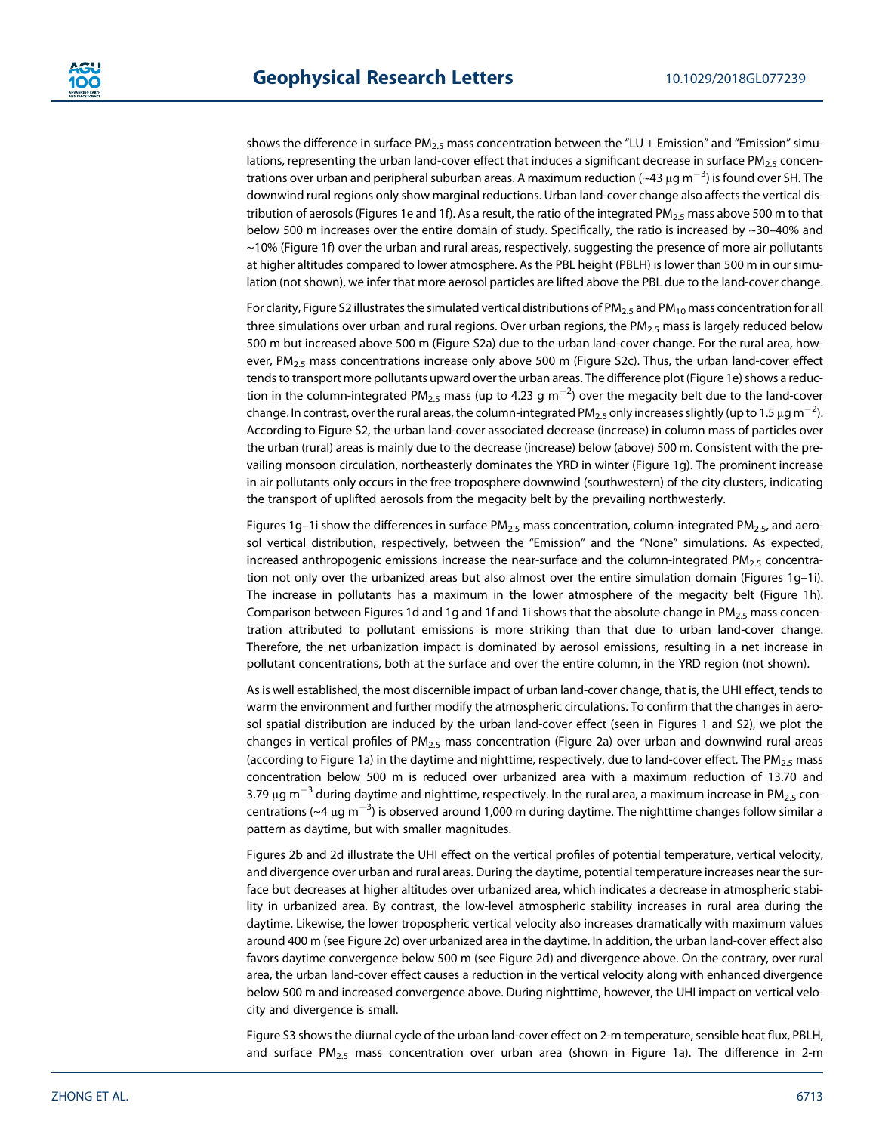shows the difference in surface  $PM_{2.5}$  mass concentration between the "LU + Emission" and "Emission" simulations, representing the urban land-cover effect that induces a significant decrease in surface PM<sub>2.5</sub> concentrations over urban and peripheral suburban areas. A maximum reduction (~43 μg m<sup>-3</sup>) is found over SH. The downwind rural regions only show marginal reductions. Urban land-cover change also affects the vertical distribution of aerosols (Figures 1e and 1f). As a result, the ratio of the integrated PM<sub>2.5</sub> mass above 500 m to that below 500 m increases over the entire domain of study. Specifically, the ratio is increased by ~30–40% and  $\sim$ 10% (Figure 1f) over the urban and rural areas, respectively, suggesting the presence of more air pollutants at higher altitudes compared to lower atmosphere. As the PBL height (PBLH) is lower than 500 m in our simulation (not shown), we infer that more aerosol particles are lifted above the PBL due to the land-cover change.

For clarity, Figure S2 illustrates the simulated vertical distributions of  $PM_{2.5}$  and  $PM_{10}$  mass concentration for all three simulations over urban and rural regions. Over urban regions, the PM<sub>2.5</sub> mass is largely reduced below 500 m but increased above 500 m (Figure S2a) due to the urban land-cover change. For the rural area, however,  $PM_{2.5}$  mass concentrations increase only above 500 m (Figure S2c). Thus, the urban land-cover effect tends to transport more pollutants upward over the urban areas. The difference plot (Figure 1e) shows a reduction in the column-integrated PM<sub>2.5</sub> mass (up to 4.23 g m<sup>-2</sup>) over the megacity belt due to the land-cover change. In contrast, over the rural areas, the column-integrated PM<sub>2.5</sub> only increases slightly (up to 1.5 µg m<sup>-2</sup>). According to Figure S2, the urban land-cover associated decrease (increase) in column mass of particles over the urban (rural) areas is mainly due to the decrease (increase) below (above) 500 m. Consistent with the prevailing monsoon circulation, northeasterly dominates the YRD in winter (Figure 1g). The prominent increase in air pollutants only occurs in the free troposphere downwind (southwestern) of the city clusters, indicating the transport of uplifted aerosols from the megacity belt by the prevailing northwesterly.

Figures 1g-1i show the differences in surface  $PM_{2.5}$  mass concentration, column-integrated  $PM_{2.5}$ , and aerosol vertical distribution, respectively, between the "Emission" and the "None" simulations. As expected, increased anthropogenic emissions increase the near-surface and the column-integrated PM<sub>2.5</sub> concentration not only over the urbanized areas but also almost over the entire simulation domain (Figures 1g–1i). The increase in pollutants has a maximum in the lower atmosphere of the megacity belt (Figure 1h). Comparison between Figures 1d and 1g and 1f and 1i shows that the absolute change in PM<sub>2.5</sub> mass concentration attributed to pollutant emissions is more striking than that due to urban land-cover change. Therefore, the net urbanization impact is dominated by aerosol emissions, resulting in a net increase in pollutant concentrations, both at the surface and over the entire column, in the YRD region (not shown).

As is well established, the most discernible impact of urban land-cover change, that is, the UHI effect, tends to warm the environment and further modify the atmospheric circulations. To confirm that the changes in aerosol spatial distribution are induced by the urban land-cover effect (seen in Figures 1 and S2), we plot the changes in vertical profiles of  $PM_{2.5}$  mass concentration (Figure 2a) over urban and downwind rural areas (according to Figure 1a) in the daytime and nighttime, respectively, due to land-cover effect. The PM<sub>2.5</sub> mass concentration below 500 m is reduced over urbanized area with a maximum reduction of 13.70 and 3.79  $\mu$ g m $^{-3}$  during daytime and nighttime, respectively. In the rural area, a maximum increase in PM<sub>2.5</sub> concentrations (~4  $\mu$ g m<sup>-3</sup>) is observed around 1,000 m during daytime. The nighttime changes follow similar a pattern as daytime, but with smaller magnitudes.

Figures 2b and 2d illustrate the UHI effect on the vertical profiles of potential temperature, vertical velocity, and divergence over urban and rural areas. During the daytime, potential temperature increases near the surface but decreases at higher altitudes over urbanized area, which indicates a decrease in atmospheric stability in urbanized area. By contrast, the low-level atmospheric stability increases in rural area during the daytime. Likewise, the lower tropospheric vertical velocity also increases dramatically with maximum values around 400 m (see Figure 2c) over urbanized area in the daytime. In addition, the urban land-cover effect also favors daytime convergence below 500 m (see Figure 2d) and divergence above. On the contrary, over rural area, the urban land-cover effect causes a reduction in the vertical velocity along with enhanced divergence below 500 m and increased convergence above. During nighttime, however, the UHI impact on vertical velocity and divergence is small.

Figure S3 shows the diurnal cycle of the urban land-cover effect on 2-m temperature, sensible heat flux, PBLH, and surface  $PM_{2.5}$  mass concentration over urban area (shown in Figure 1a). The difference in 2-m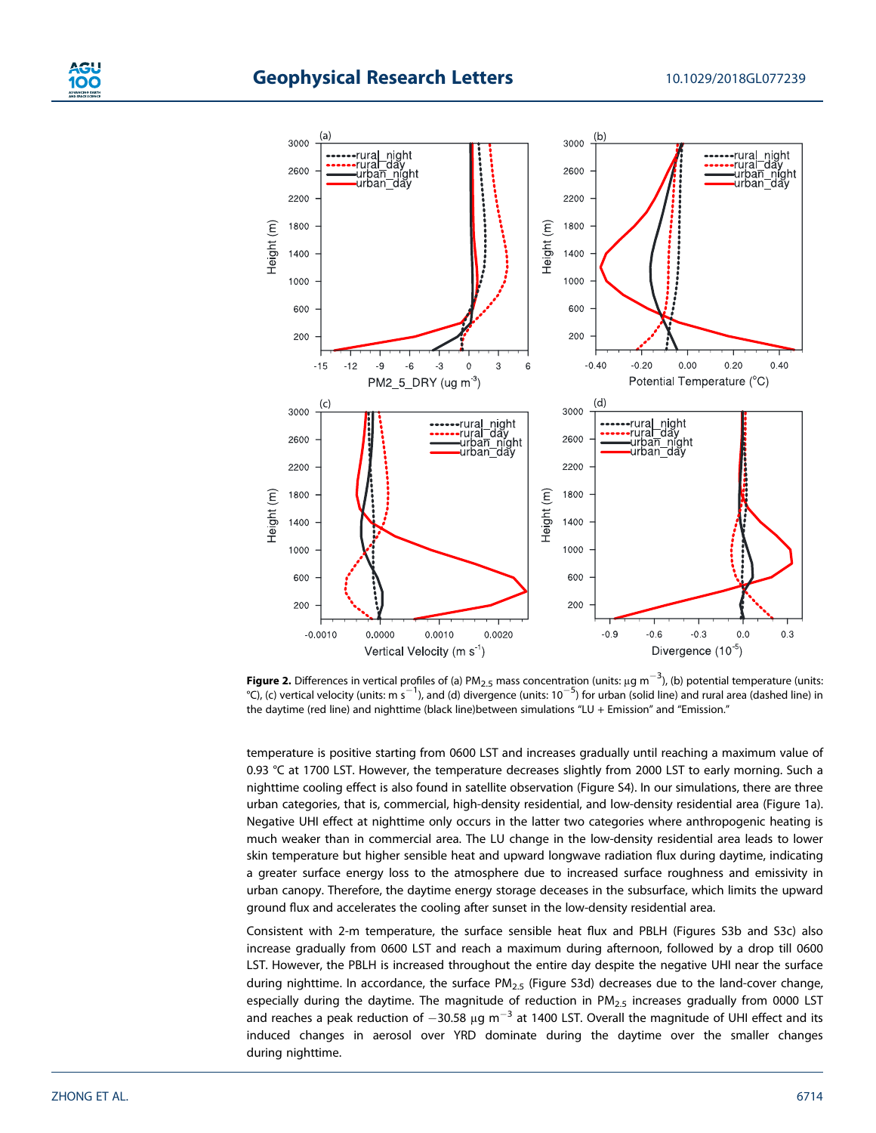

**Figure 2.** Differences in vertical profiles of (a) PM<sub>2.5</sub> mass concentration (units: μg m $^{-3}$ ), (b) potential temperature (units: **C**), (c) vertical velocity (units: m s<sup>-1</sup>), and (d) divergence (units:  $10^{-5}$ ) for urban (solid line) and rural area (dashed line) in the daytime (red line) and nighttime (black line)between simulations "LU + Emission" and "Emission."

temperature is positive starting from 0600 LST and increases gradually until reaching a maximum value of 0.93 °C at 1700 LST. However, the temperature decreases slightly from 2000 LST to early morning. Such a nighttime cooling effect is also found in satellite observation (Figure S4). In our simulations, there are three urban categories, that is, commercial, high-density residential, and low-density residential area (Figure 1a). Negative UHI effect at nighttime only occurs in the latter two categories where anthropogenic heating is much weaker than in commercial area. The LU change in the low-density residential area leads to lower skin temperature but higher sensible heat and upward longwave radiation flux during daytime, indicating a greater surface energy loss to the atmosphere due to increased surface roughness and emissivity in urban canopy. Therefore, the daytime energy storage deceases in the subsurface, which limits the upward ground flux and accelerates the cooling after sunset in the low-density residential area.

Consistent with 2-m temperature, the surface sensible heat flux and PBLH (Figures S3b and S3c) also increase gradually from 0600 LST and reach a maximum during afternoon, followed by a drop till 0600 LST. However, the PBLH is increased throughout the entire day despite the negative UHI near the surface during nighttime. In accordance, the surface  $PM_{2.5}$  (Figure S3d) decreases due to the land-cover change, especially during the daytime. The magnitude of reduction in PM<sub>2.5</sub> increases gradually from 0000 LST and reaches a peak reduction of  $-30.58 \mu g$  m<sup>-3</sup> at 1400 LST. Overall the magnitude of UHI effect and its induced changes in aerosol over YRD dominate during the daytime over the smaller changes during nighttime.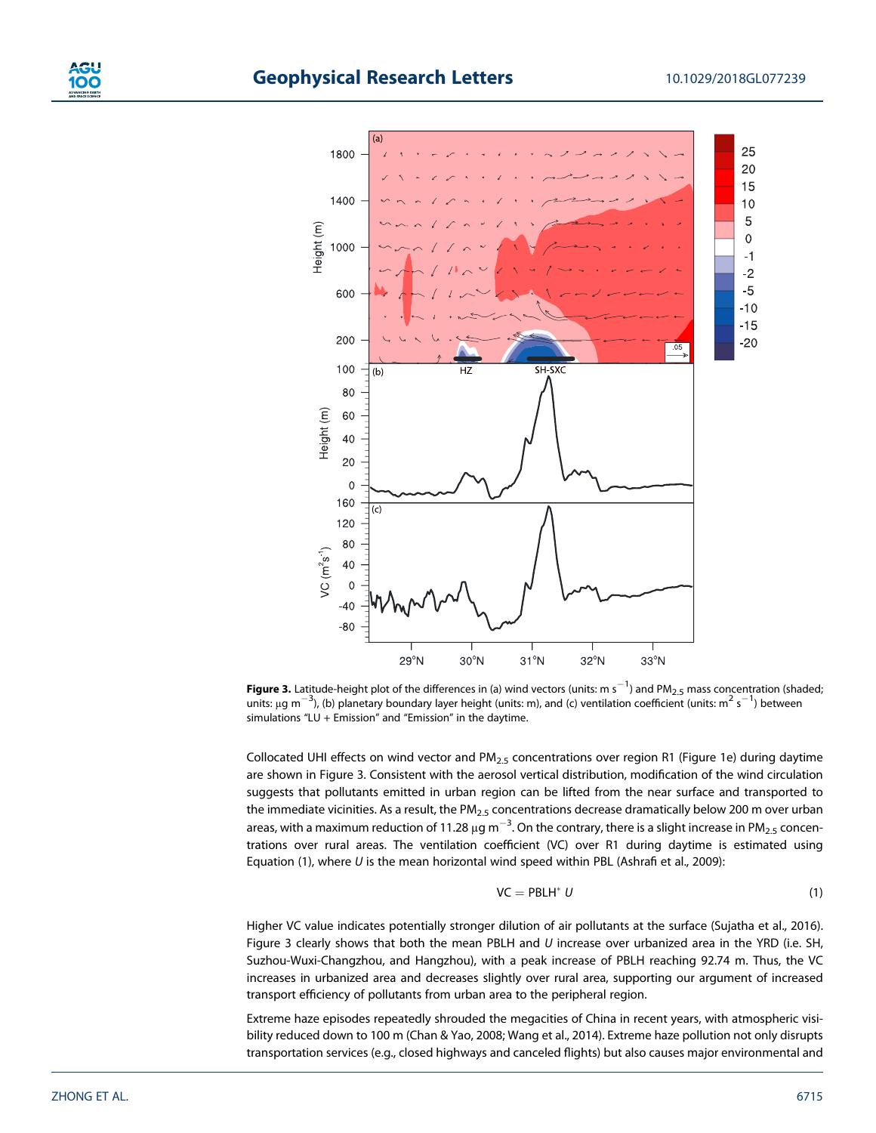



**Figure 3.** Latitude-height plot of the differences in (a) wind vectors (units: m s $^{-1}$ ) and PM<sub>2.5</sub> mass concentration (shaded;  $\mu$  must be called the proton the differences in (d) which vectors (different  $\mu$  must m<sub>2.5</sub> mass concentration (shall mits:  $\mu$ ) between simulations "LU + Emission" and "Emission" in the daytime.

Collocated UHI effects on wind vector and  $PM_{2.5}$  concentrations over region R1 (Figure 1e) during daytime are shown in Figure 3. Consistent with the aerosol vertical distribution, modification of the wind circulation suggests that pollutants emitted in urban region can be lifted from the near surface and transported to the immediate vicinities. As a result, the PM<sub>2.5</sub> concentrations decrease dramatically below 200 m over urban areas, with a maximum reduction of 11.28  $\mu$ g m<sup>-3</sup>. On the contrary, there is a slight increase in PM<sub>2.5</sub> concentrations over rural areas. The ventilation coefficient (VC) over R1 during daytime is estimated using Equation (1), where  $U$  is the mean horizontal wind speed within PBL (Ashrafi et al., 2009):

$$
VC = PBLH^* U \tag{1}
$$

Higher VC value indicates potentially stronger dilution of air pollutants at the surface (Sujatha et al., 2016). Figure 3 clearly shows that both the mean PBLH and  $U$  increase over urbanized area in the YRD (i.e. SH, Suzhou-Wuxi-Changzhou, and Hangzhou), with a peak increase of PBLH reaching 92.74 m. Thus, the VC increases in urbanized area and decreases slightly over rural area, supporting our argument of increased transport efficiency of pollutants from urban area to the peripheral region.

Extreme haze episodes repeatedly shrouded the megacities of China in recent years, with atmospheric visibility reduced down to 100 m (Chan & Yao, 2008; Wang et al., 2014). Extreme haze pollution not only disrupts transportation services (e.g., closed highways and canceled flights) but also causes major environmental and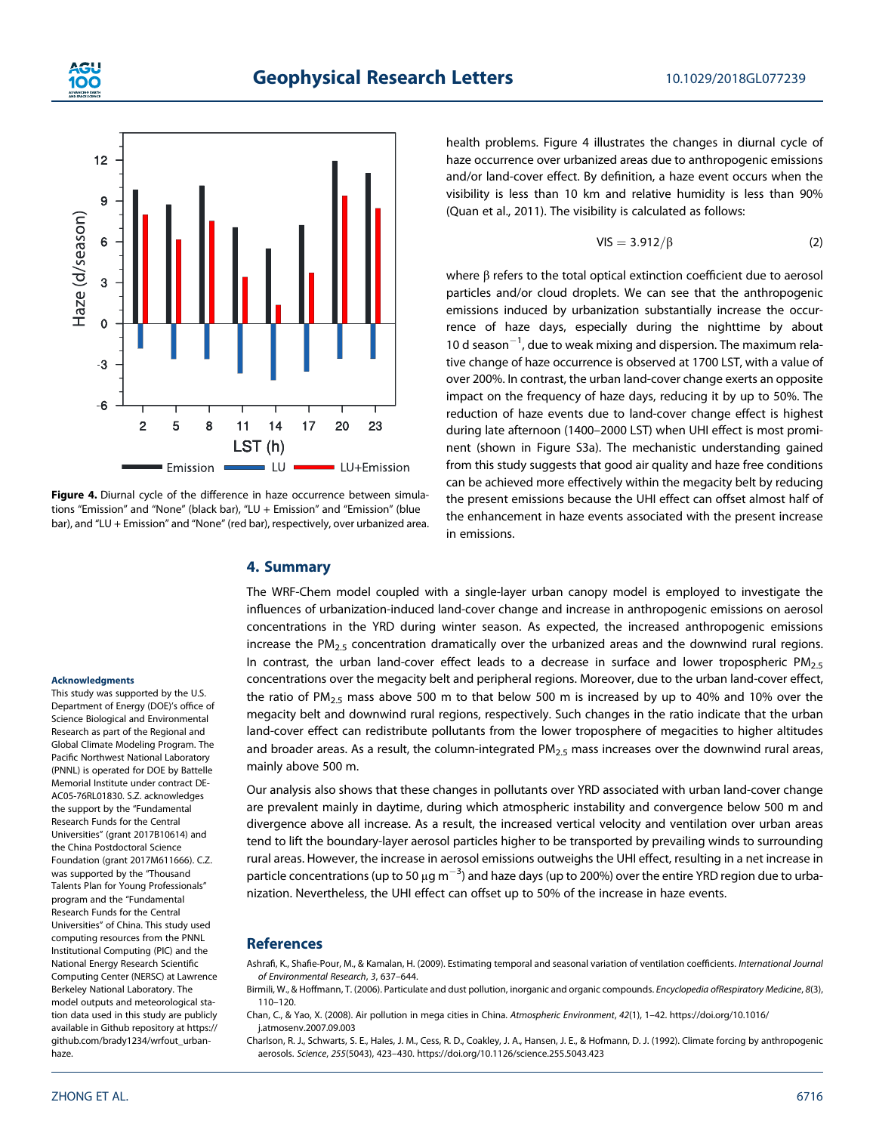



Figure 4. Diurnal cycle of the difference in haze occurrence between simulations "Emission" and "None" (black bar), "LU + Emission" and "Emission" (blue bar), and "LU + Emission" and "None" (red bar), respectively, over urbanized area.

## 4. Summary

health problems. Figure 4 illustrates the changes in diurnal cycle of haze occurrence over urbanized areas due to anthropogenic emissions and/or land-cover effect. By definition, a haze event occurs when the visibility is less than 10 km and relative humidity is less than 90% (Quan et al., 2011). The visibility is calculated as follows:

$$
VIS = 3.912/\beta \tag{2}
$$

where β refers to the total optical extinction coefficient due to aerosol particles and/or cloud droplets. We can see that the anthropogenic emissions induced by urbanization substantially increase the occurrence of haze days, especially during the nighttime by about 10 d season<sup>-1</sup>, due to weak mixing and dispersion. The maximum relative change of haze occurrence is observed at 1700 LST, with a value of over 200%. In contrast, the urban land-cover change exerts an opposite impact on the frequency of haze days, reducing it by up to 50%. The reduction of haze events due to land-cover change effect is highest during late afternoon (1400–2000 LST) when UHI effect is most prominent (shown in Figure S3a). The mechanistic understanding gained from this study suggests that good air quality and haze free conditions can be achieved more effectively within the megacity belt by reducing the present emissions because the UHI effect can offset almost half of the enhancement in haze events associated with the present increase in emissions.

The WRF-Chem model coupled with a single-layer urban canopy model is employed to investigate the influences of urbanization-induced land-cover change and increase in anthropogenic emissions on aerosol concentrations in the YRD during winter season. As expected, the increased anthropogenic emissions increase the  $PM_{2.5}$  concentration dramatically over the urbanized areas and the downwind rural regions. In contrast, the urban land-cover effect leads to a decrease in surface and lower tropospheric PM<sub>2.5</sub> concentrations over the megacity belt and peripheral regions. Moreover, due to the urban land-cover effect, the ratio of PM<sub>2.5</sub> mass above 500 m to that below 500 m is increased by up to 40% and 10% over the megacity belt and downwind rural regions, respectively. Such changes in the ratio indicate that the urban land-cover effect can redistribute pollutants from the lower troposphere of megacities to higher altitudes and broader areas. As a result, the column-integrated  $PM_{2.5}$  mass increases over the downwind rural areas, mainly above 500 m.

Our analysis also shows that these changes in pollutants over YRD associated with urban land-cover change are prevalent mainly in daytime, during which atmospheric instability and convergence below 500 m and divergence above all increase. As a result, the increased vertical velocity and ventilation over urban areas tend to lift the boundary-layer aerosol particles higher to be transported by prevailing winds to surrounding rural areas. However, the increase in aerosol emissions outweighs the UHI effect, resulting in a net increase in particle concentrations (up to 50  $\mu$ g m<sup>-3</sup>) and haze days (up to 200%) over the entire YRD region due to urbanization. Nevertheless, the UHI effect can offset up to 50% of the increase in haze events.

## **References**

Ashrafi, K., Shafie-Pour, M., & Kamalan, H. (2009). Estimating temporal and seasonal variation of ventilation coefficients. International Journal of Environmental Research, 3, 637–644.

Birmili, W., & Hoffmann, T. (2006). Particulate and dust pollution, inorganic and organic compounds. Encyclopedia ofRespiratory Medicine, 8(3), 110–120.

Chan, C., & Yao, X. (2008). Air pollution in mega cities in China. Atmospheric Environment, 42(1), 1–42. https://doi.org/10.1016/ j.atmosenv.2007.09.003

Charlson, R. J., Schwarts, S. E., Hales, J. M., Cess, R. D., Coakley, J. A., Hansen, J. E., & Hofmann, D. J. (1992). Climate forcing by anthropogenic aerosols. Science, 255(5043), 423–430. https://doi.org/10.1126/science.255.5043.423

#### Acknowledgments

This study was supported by the U.S. Department of Energy (DOE)'s office of Science Biological and Environmental Research as part of the Regional and Global Climate Modeling Program. The Pacific Northwest National Laboratory (PNNL) is operated for DOE by Battelle Memorial Institute under contract DE-AC05-76RL01830. S.Z. acknowledges the support by the "Fundamental Research Funds for the Central Universities" (grant 2017B10614) and the China Postdoctoral Science Foundation (grant 2017M611666). C.Z. was supported by the "Thousand Talents Plan for Young Professionals" program and the "Fundamental Research Funds for the Central Universities" of China. This study used computing resources from the PNNL Institutional Computing (PIC) and the National Energy Research Scientific Computing Center (NERSC) at Lawrence Berkeley National Laboratory. The model outputs and meteorological station data used in this study are publicly available in Github repository at https:// github.com/brady1234/wrfout\_urbanhaze.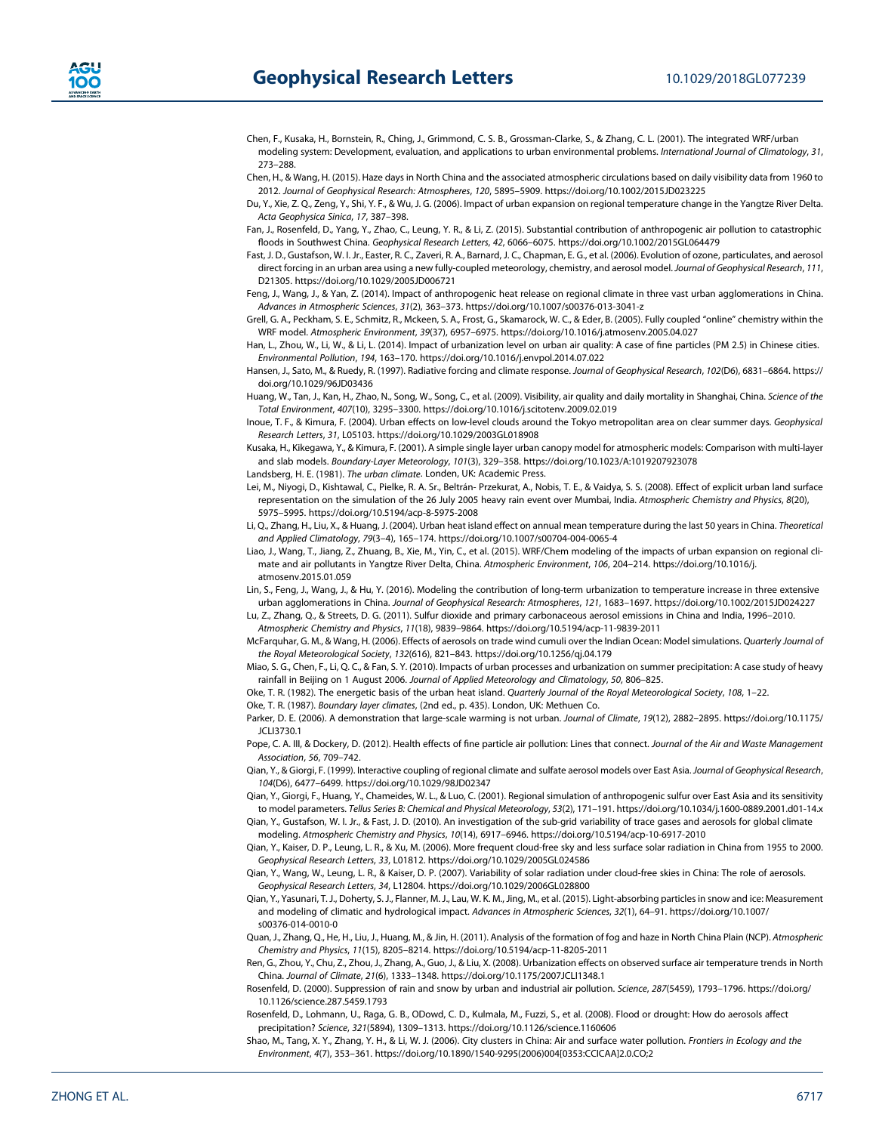

Chen, F., Kusaka, H., Bornstein, R., Ching, J., Grimmond, C. S. B., Grossman-Clarke, S., & Zhang, C. L. (2001). The integrated WRF/urban modeling system: Development, evaluation, and applications to urban environmental problems. International Journal of Climatology, 31, 273–288.

- Chen, H., & Wang, H. (2015). Haze days in North China and the associated atmospheric circulations based on daily visibility data from 1960 to 2012. Journal of Geophysical Research: Atmospheres, 120, 5895–5909. https://doi.org/10.1002/2015JD023225
- Du, Y., Xie, Z. Q., Zeng, Y., Shi, Y. F., & Wu, J. G. (2006). Impact of urban expansion on regional temperature change in the Yangtze River Delta. Acta Geophysica Sinica, 17, 387–398.
- Fan, J., Rosenfeld, D., Yang, Y., Zhao, C., Leung, Y. R., & Li, Z. (2015). Substantial contribution of anthropogenic air pollution to catastrophic floods in Southwest China. Geophysical Research Letters, 42, 6066–6075. https://doi.org/10.1002/2015GL064479
- Fast, J. D., Gustafson, W. I. Jr., Easter, R. C., Zaveri, R. A., Barnard, J. C., Chapman, E. G., et al. (2006). Evolution of ozone, particulates, and aerosol direct forcing in an urban area using a new fully-coupled meteorology, chemistry, and aerosol model. Journal of Geophysical Research, 111, D21305. https://doi.org/10.1029/2005JD006721
- Feng, J., Wang, J., & Yan, Z. (2014). Impact of anthropogenic heat release on regional climate in three vast urban agglomerations in China. Advances in Atmospheric Sciences, 31(2), 363–373. https://doi.org/10.1007/s00376-013-3041-z
- Grell, G. A., Peckham, S. E., Schmitz, R., Mckeen, S. A., Frost, G., Skamarock, W. C., & Eder, B. (2005). Fully coupled "online" chemistry within the WRF model. Atmospheric Environment, 39(37), 6957–6975. https://doi.org/10.1016/j.atmosenv.2005.04.027
- Han, L., Zhou, W., Li, W., & Li, L. (2014). Impact of urbanization level on urban air quality: A case of fine particles (PM 2.5) in Chinese cities. Environmental Pollution, 194, 163–170. https://doi.org/10.1016/j.envpol.2014.07.022

Hansen, J., Sato, M., & Ruedy, R. (1997). Radiative forcing and climate response. Journal of Geophysical Research, 102(D6), 6831-6864. https:// doi.org/10.1029/96JD03436

Huang, W., Tan, J., Kan, H., Zhao, N., Song, W., Song, C., et al. (2009). Visibility, air quality and daily mortality in Shanghai, China. Science of the Total Environment, 407(10), 3295–3300. https://doi.org/10.1016/j.scitotenv.2009.02.019

- Inoue, T. F., & Kimura, F. (2004). Urban effects on low-level clouds around the Tokyo metropolitan area on clear summer days. Geophysical Research Letters, 31, L05103. https://doi.org/10.1029/2003GL018908
- Kusaka, H., Kikegawa, Y., & Kimura, F. (2001). A simple single layer urban canopy model for atmospheric models: Comparison with multi-layer and slab models. Boundary-Layer Meteorology, 101(3), 329–358. https://doi.org/10.1023/A:1019207923078
- Landsberg, H. E. (1981). The urban climate. Londen, UK: Academic Press.
- Lei, M., Niyogi, D., Kishtawal, C., Pielke, R. A. Sr., Beltrán- Przekurat, A., Nobis, T. E., & Vaidya, S. S. (2008). Effect of explicit urban land surface representation on the simulation of the 26 July 2005 heavy rain event over Mumbai, India. Atmospheric Chemistry and Physics, 8(20), 5975–5995. https://doi.org/10.5194/acp-8-5975-2008

Li, Q., Zhang, H., Liu, X., & Huang, J. (2004). Urban heat island effect on annual mean temperature during the last 50 years in China. Theoretical and Applied Climatology, 79(3–4), 165–174. https://doi.org/10.1007/s00704-004-0065-4

Liao, J., Wang, T., Jiang, Z., Zhuang, B., Xie, M., Yin, C., et al. (2015). WRF/Chem modeling of the impacts of urban expansion on regional climate and air pollutants in Yangtze River Delta, China. Atmospheric Environment, 106, 204–214. https://doi.org/10.1016/j. atmosenv.2015.01.059

Lin, S., Feng, J., Wang, J., & Hu, Y. (2016). Modeling the contribution of long-term urbanization to temperature increase in three extensive urban agglomerations in China. Journal of Geophysical Research: Atmospheres, 121, 1683–1697. https://doi.org/10.1002/2015JD024227

- Lu, Z., Zhang, Q., & Streets, D. G. (2011). Sulfur dioxide and primary carbonaceous aerosol emissions in China and India, 1996–2010. Atmospheric Chemistry and Physics, 11(18), 9839–9864. https://doi.org/10.5194/acp-11-9839-2011
- McFarquhar, G. M., & Wang, H. (2006). Effects of aerosols on trade wind cumuli over the Indian Ocean: Model simulations. Quarterly Journal of the Royal Meteorological Society, 132(616), 821–843. https://doi.org/10.1256/qj.04.179
- Miao, S. G., Chen, F., Li, Q. C., & Fan, S. Y. (2010). Impacts of urban processes and urbanization on summer precipitation: A case study of heavy rainfall in Beijing on 1 August 2006. Journal of Applied Meteorology and Climatology, 50, 806–825.
- Oke, T. R. (1982). The energetic basis of the urban heat island. Quarterly Journal of the Royal Meteorological Society, 108, 1–22.
- Oke, T. R. (1987). Boundary layer climates, (2nd ed., p. 435). London, UK: Methuen Co.

Parker, D. E. (2006). A demonstration that large-scale warming is not urban. Journal of Climate, 19(12), 2882–2895. https://doi.org/10.1175/ JCLI3730.1

- Pope, C. A. III, & Dockery, D. (2012). Health effects of fine particle air pollution: Lines that connect. Journal of the Air and Waste Management Association, 56, 709–742.
- Qian, Y., & Giorgi, F. (1999). Interactive coupling of regional climate and sulfate aerosol models over East Asia. Journal of Geophysical Research, 104(D6), 6477–6499. https://doi.org/10.1029/98JD02347
- Qian, Y., Giorgi, F., Huang, Y., Chameides, W. L., & Luo, C. (2001). Regional simulation of anthropogenic sulfur over East Asia and its sensitivity to model parameters. Tellus Series B: Chemical and Physical Meteorology, 53(2), 171–191. https://doi.org/10.1034/j.1600-0889.2001.d01-14.x Qian, Y., Gustafson, W. I. Jr., & Fast, J. D. (2010). An investigation of the sub-grid variability of trace gases and aerosols for global climate
- modeling. Atmospheric Chemistry and Physics, 10(14), 6917–6946. https://doi.org/10.5194/acp-10-6917-2010

Qian, Y., Kaiser, D. P., Leung, L. R., & Xu, M. (2006). More frequent cloud-free sky and less surface solar radiation in China from 1955 to 2000. Geophysical Research Letters, 33, L01812. https://doi.org/10.1029/2005GL024586

- Qian, Y., Wang, W., Leung, L. R., & Kaiser, D. P. (2007). Variability of solar radiation under cloud-free skies in China: The role of aerosols. Geophysical Research Letters, 34, L12804. https://doi.org/10.1029/2006GL028800
- Qian, Y., Yasunari, T. J., Doherty, S. J., Flanner, M. J., Lau, W. K. M., Jing, M., et al. (2015). Light-absorbing particles in snow and ice: Measurement and modeling of climatic and hydrological impact. Advances in Atmospheric Sciences, 32(1), 64–91. https://doi.org/10.1007/ s00376-014-0010-0
- Quan, J., Zhang, Q., He, H., Liu, J., Huang, M., & Jin, H. (2011). Analysis of the formation of fog and haze in North China Plain (NCP). Atmospheric Chemistry and Physics, 11(15), 8205–8214. https://doi.org/10.5194/acp-11-8205-2011
- Ren, G., Zhou, Y., Chu, Z., Zhou, J., Zhang, A., Guo, J., & Liu, X. (2008). Urbanization effects on observed surface air temperature trends in North China. Journal of Climate, 21(6), 1333–1348. https://doi.org/10.1175/2007JCLI1348.1
- Rosenfeld, D. (2000). Suppression of rain and snow by urban and industrial air pollution. Science, 287(5459), 1793–1796. https://doi.org/ 10.1126/science.287.5459.1793
- Rosenfeld, D., Lohmann, U., Raga, G. B., ODowd, C. D., Kulmala, M., Fuzzi, S., et al. (2008). Flood or drought: How do aerosols affect precipitation? Science, 321(5894), 1309–1313. https://doi.org/10.1126/science.1160606
- Shao, M., Tang, X. Y., Zhang, Y. H., & Li, W. J. (2006). City clusters in China: Air and surface water pollution. Frontiers in Ecology and the Environment, 4(7), 353–361. https://doi.org/10.1890/1540-9295(2006)004[0353:CCICAA]2.0.CO;2